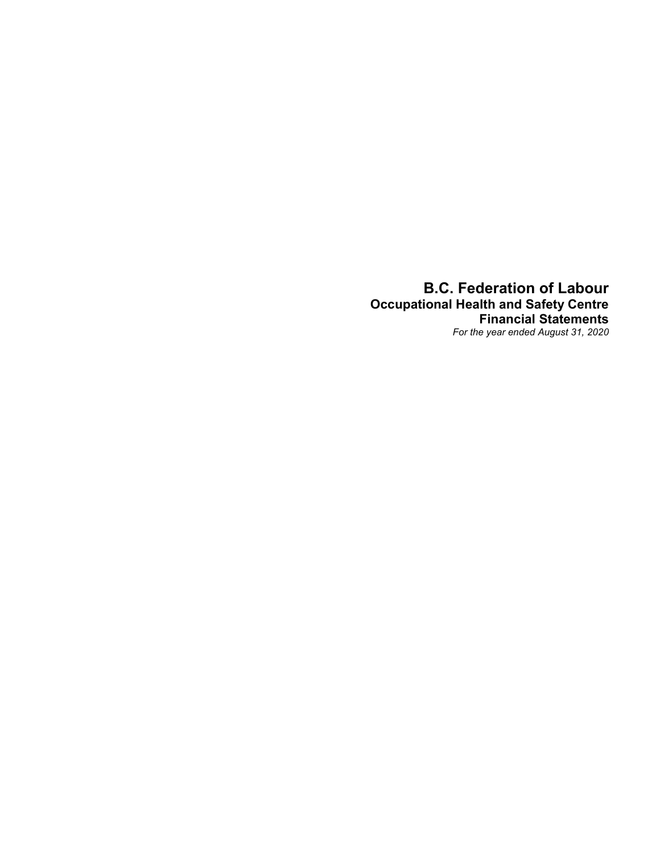B.C. Federation of Labour Occupational Health and Safety Centre Financial Statements For the year ended August 31, 2020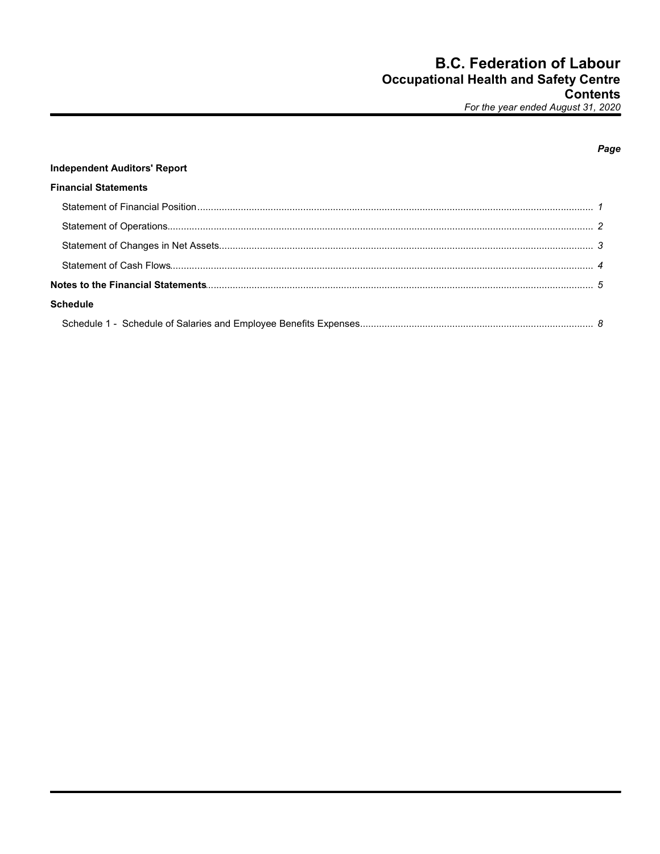|                                     | Page |
|-------------------------------------|------|
| <b>Independent Auditors' Report</b> |      |
| <b>Financial Statements</b>         |      |
|                                     |      |
|                                     |      |
|                                     |      |
|                                     |      |
|                                     |      |
| <b>Schedule</b>                     |      |
|                                     |      |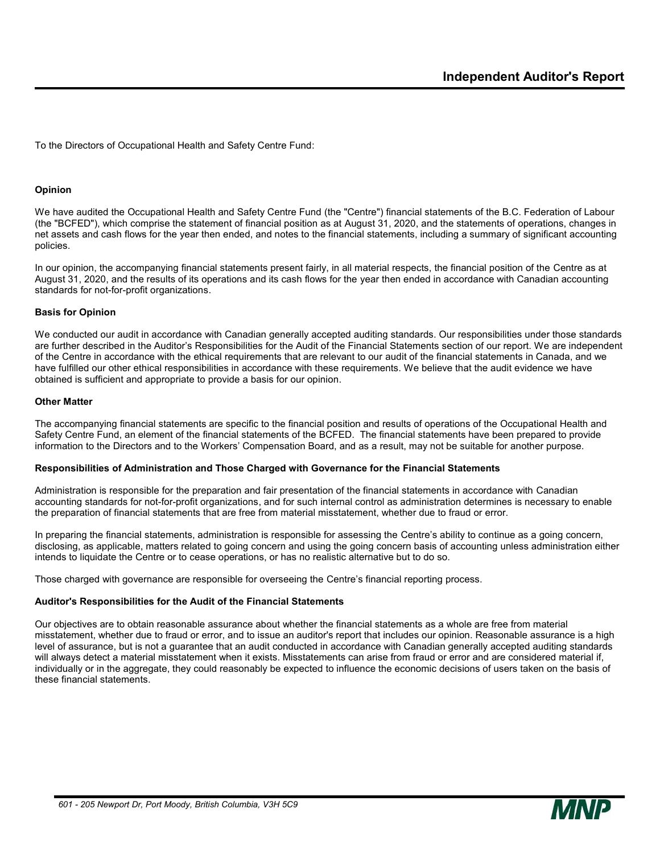To the Directors of Occupational Health and Safety Centre Fund:

#### Opinion

We have audited the Occupational Health and Safety Centre Fund (the "Centre") financial statements of the B.C. Federation of Labour (the "BCFED"), which comprise the statement of financial position as at August 31, 2020, and the statements of operations, changes in net assets and cash flows for the year then ended, and notes to the financial statements, including a summary of significant accounting policies.

In our opinion, the accompanying financial statements present fairly, in all material respects, the financial position of the Centre as at August 31, 2020, and the results of its operations and its cash flows for the year then ended in accordance with Canadian accounting standards for not-for-profit organizations.

#### Basis for Opinion

We conducted our audit in accordance with Canadian generally accepted auditing standards. Our responsibilities under those standards are further described in the Auditor's Responsibilities for the Audit of the Financial Statements section of our report. We are independent of the Centre in accordance with the ethical requirements that are relevant to our audit of the financial statements in Canada, and we have fulfilled our other ethical responsibilities in accordance with these requirements. We believe that the audit evidence we have obtained is sufficient and appropriate to provide a basis for our opinion.

#### Other Matter

The accompanying financial statements are specific to the financial position and results of operations of the Occupational Health and Safety Centre Fund, an element of the financial statements of the BCFED. The financial statements have been prepared to provide information to the Directors and to the Workers' Compensation Board, and as a result, may not be suitable for another purpose.

#### Responsibilities of Administration and Those Charged with Governance for the Financial Statements

Administration is responsible for the preparation and fair presentation of the financial statements in accordance with Canadian accounting standards for not-for-profit organizations, and for such internal control as administration determines is necessary to enable the preparation of financial statements that are free from material misstatement, whether due to fraud or error.

In preparing the financial statements, administration is responsible for assessing the Centre's ability to continue as a going concern, disclosing, as applicable, matters related to going concern and using the going concern basis of accounting unless administration either intends to liquidate the Centre or to cease operations, or has no realistic alternative but to do so.

Those charged with governance are responsible for overseeing the Centre's financial reporting process.

#### Auditor's Responsibilities for the Audit of the Financial Statements

Our objectives are to obtain reasonable assurance about whether the financial statements as a whole are free from material misstatement, whether due to fraud or error, and to issue an auditor's report that includes our opinion. Reasonable assurance is a high level of assurance, but is not a guarantee that an audit conducted in accordance with Canadian generally accepted auditing standards will always detect a material misstatement when it exists. Misstatements can arise from fraud or error and are considered material if, individually or in the aggregate, they could reasonably be expected to influence the economic decisions of users taken on the basis of these financial statements.

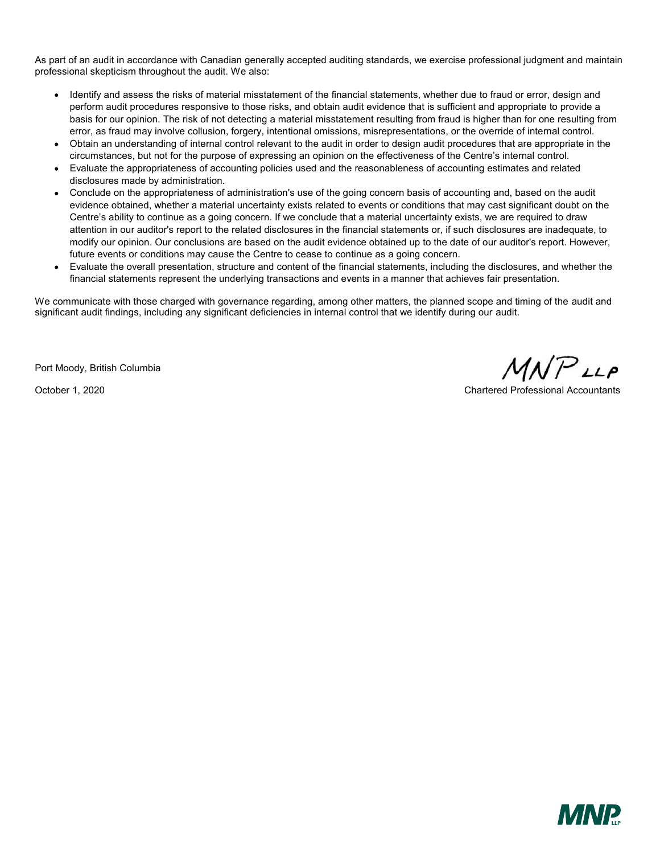As part of an audit in accordance with Canadian generally accepted auditing standards, we exercise professional judgment and maintain professional skepticism throughout the audit. We also:

- Identify and assess the risks of material misstatement of the financial statements, whether due to fraud or error, design and perform audit procedures responsive to those risks, and obtain audit evidence that is sufficient and appropriate to provide a basis for our opinion. The risk of not detecting a material misstatement resulting from fraud is higher than for one resulting from error, as fraud may involve collusion, forgery, intentional omissions, misrepresentations, or the override of internal control.
- Obtain an understanding of internal control relevant to the audit in order to design audit procedures that are appropriate in the circumstances, but not for the purpose of expressing an opinion on the effectiveness of the Centre's internal control.
- Evaluate the appropriateness of accounting policies used and the reasonableness of accounting estimates and related disclosures made by administration.
- Conclude on the appropriateness of administration's use of the going concern basis of accounting and, based on the audit evidence obtained, whether a material uncertainty exists related to events or conditions that may cast significant doubt on the Centre's ability to continue as a going concern. If we conclude that a material uncertainty exists, we are required to draw attention in our auditor's report to the related disclosures in the financial statements or, if such disclosures are inadequate, to modify our opinion. Our conclusions are based on the audit evidence obtained up to the date of our auditor's report. However, future events or conditions may cause the Centre to cease to continue as a going concern.
- Evaluate the overall presentation, structure and content of the financial statements, including the disclosures, and whether the financial statements represent the underlying transactions and events in a manner that achieves fair presentation.

We communicate with those charged with governance regarding, among other matters, the planned scope and timing of the audit and significant audit findings, including any significant deficiencies in internal control that we identify during our audit.

Port Moody, British Columbia

 $MNP$ LLP

October 1, 2020 Chartered Professional Accountants

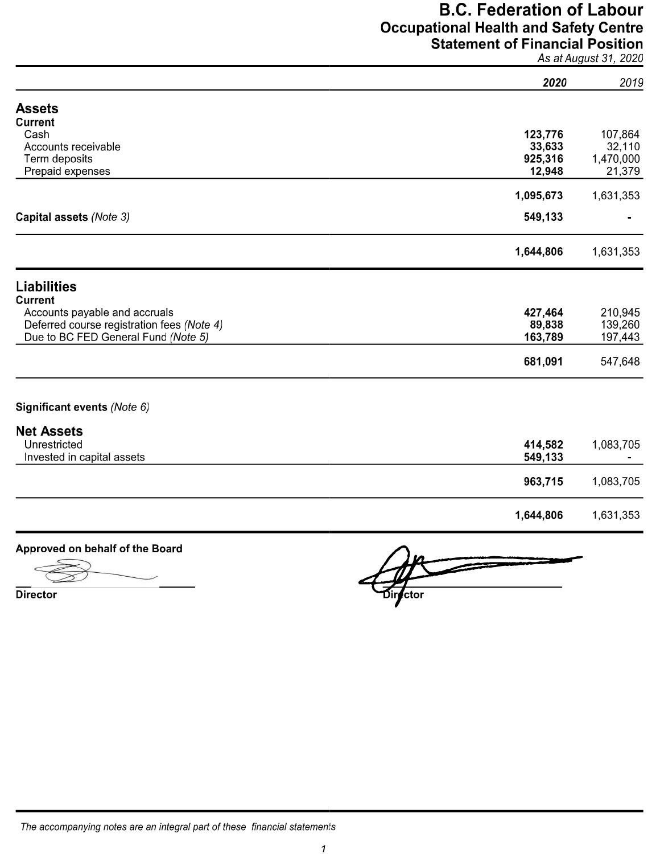# **B.C. Federation of Labour Occupational Health and Safety Centre Statement of Financial Position**<br>As at August 31, 2020

|                                            | 2020      | 2019      |
|--------------------------------------------|-----------|-----------|
| <b>Assets</b>                              |           |           |
| <b>Current</b>                             |           |           |
| Cash                                       | 123,776   | 107,864   |
| Accounts receivable                        | 33,633    | 32,110    |
| Term deposits                              | 925,316   | 1,470,000 |
| Prepaid expenses                           | 12,948    | 21,379    |
|                                            | 1,095,673 | 1,631,353 |
| Capital assets (Note 3)                    | 549,133   |           |
|                                            | 1,644,806 | 1,631,353 |
| <b>Liabilities</b>                         |           |           |
| <b>Current</b>                             |           |           |
| Accounts payable and accruals              | 427,464   | 210,945   |
| Deferred course registration fees (Note 4) | 89,838    | 139,260   |
| Due to BC FED General Fund (Note 5)        | 163,789   | 197,443   |
|                                            | 681,091   | 547,648   |
| Significant events (Note 6)                |           |           |
| <b>Net Assets</b>                          |           |           |
| Unrestricted                               | 414,582   | 1,083,705 |
| Invested in capital assets                 | 549,133   |           |
|                                            | 963,715   | 1,083,705 |
|                                            | 1,644,806 | 1,631,353 |

### Approved on behalf of the Board

**Director** 

ctor

The accompanying notes are an integral part of these financial statements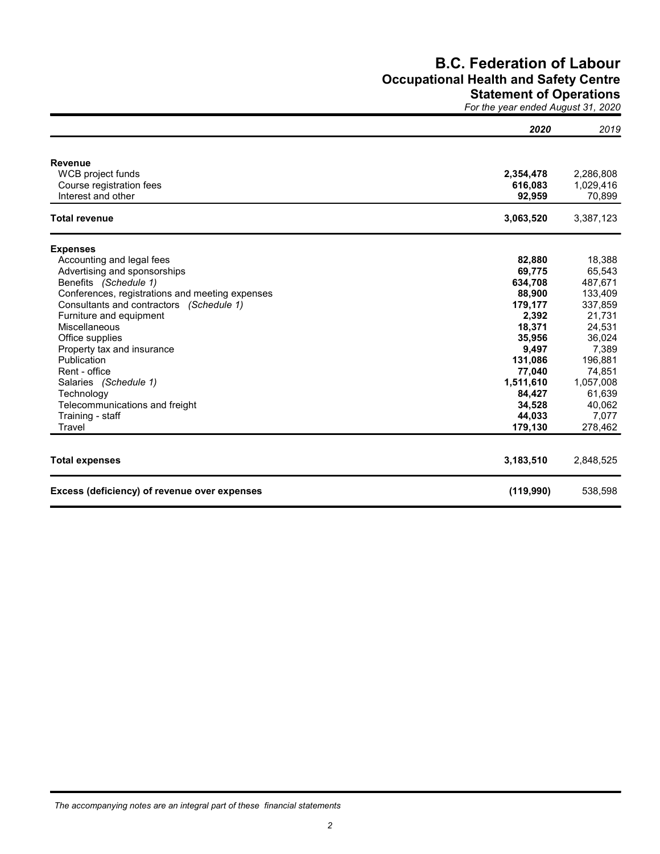## B.C. Federation of Labour Occupational Health and Safety Centre Statement of Operations

For the year ended August 31, 2020

|                                                 | 2020      | 2019      |
|-------------------------------------------------|-----------|-----------|
| <b>Revenue</b>                                  |           |           |
| WCB project funds                               | 2,354,478 | 2,286,808 |
| Course registration fees                        | 616,083   | 1,029,416 |
| Interest and other                              | 92,959    | 70,899    |
| <b>Total revenue</b>                            | 3,063,520 | 3,387,123 |
| <b>Expenses</b>                                 |           |           |
| Accounting and legal fees                       | 82,880    | 18,388    |
| Advertising and sponsorships                    | 69,775    | 65,543    |
| Benefits (Schedule 1)                           | 634,708   | 487,671   |
| Conferences, registrations and meeting expenses | 88,900    | 133,409   |
| Consultants and contractors (Schedule 1)        | 179,177   | 337,859   |
| Furniture and equipment                         | 2,392     | 21,731    |
| Miscellaneous                                   | 18,371    | 24,531    |
| Office supplies                                 | 35,956    | 36,024    |
| Property tax and insurance                      | 9,497     | 7,389     |
| Publication                                     | 131,086   | 196,881   |
| Rent - office                                   | 77,040    | 74,851    |
| Salaries (Schedule 1)                           | 1,511,610 | 1,057,008 |
| Technology                                      | 84,427    | 61,639    |
| Telecommunications and freight                  | 34,528    | 40,062    |
| Training - staff                                | 44,033    | 7,077     |
| Travel                                          | 179,130   | 278,462   |
| <b>Total expenses</b>                           | 3,183,510 | 2,848,525 |
| Excess (deficiency) of revenue over expenses    | (119,990) | 538,598   |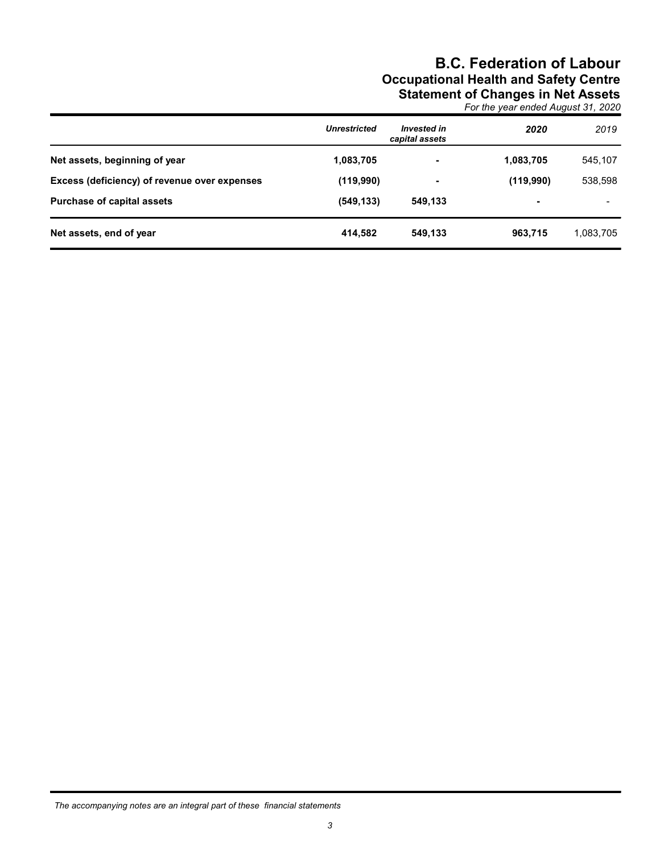## B.C. Federation of Labour Occupational Health and Safety Centre Statement of Changes in Net Assets

For the year ended August 31, 2020

|                                              | <b>Unrestricted</b> | <b>Invested in</b><br>capital assets | 2020      | 2019      |
|----------------------------------------------|---------------------|--------------------------------------|-----------|-----------|
| Net assets, beginning of year                | 1,083,705           | $\blacksquare$                       | 1,083,705 | 545,107   |
| Excess (deficiency) of revenue over expenses | (119,990)           | ۰                                    | (119,990) | 538,598   |
| <b>Purchase of capital assets</b>            | (549, 133)          | 549.133                              |           |           |
| Net assets, end of year                      | 414,582             | 549.133                              | 963,715   | 1,083,705 |

The accompanying notes are an integral part of these financial statements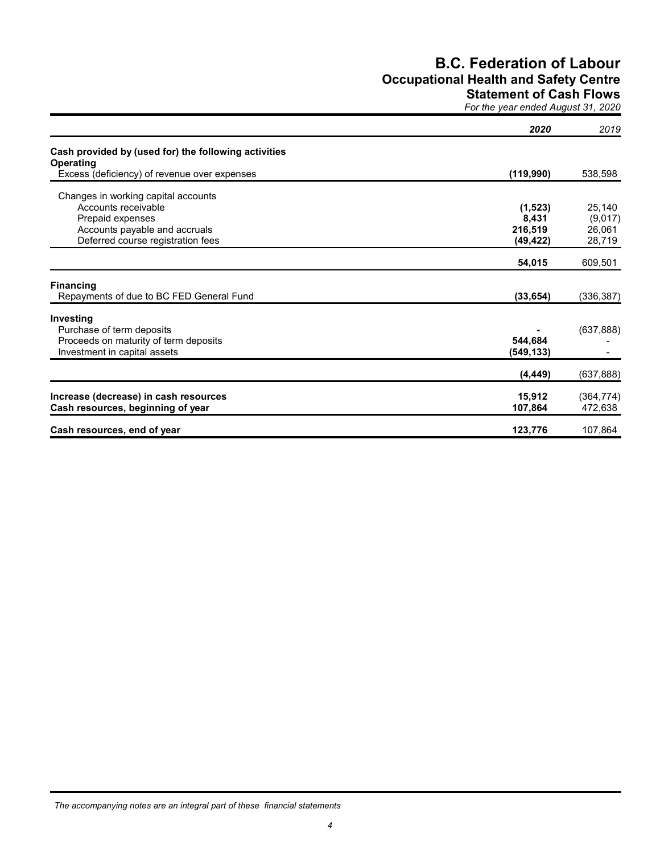## B.C. Federation of Labour Occupational Health and Safety Centre

## Statement of Cash Flows

For the year ended August 31, 2020

|                                                                          | 2020       | 2019       |
|--------------------------------------------------------------------------|------------|------------|
| Cash provided by (used for) the following activities<br><b>Operating</b> |            |            |
| Excess (deficiency) of revenue over expenses                             | (119,990)  | 538,598    |
| Changes in working capital accounts                                      |            |            |
| Accounts receivable                                                      | (1,523)    | 25,140     |
| Prepaid expenses                                                         | 8,431      | (9,017)    |
| Accounts payable and accruals                                            | 216,519    | 26,061     |
| Deferred course registration fees                                        | (49, 422)  | 28,719     |
|                                                                          | 54,015     | 609,501    |
| <b>Financing</b>                                                         |            |            |
| Repayments of due to BC FED General Fund                                 | (33, 654)  | (336, 387) |
| Investing                                                                |            |            |
| Purchase of term deposits                                                |            | (637, 888) |
| Proceeds on maturity of term deposits                                    | 544,684    |            |
| Investment in capital assets                                             | (549, 133) |            |
|                                                                          | (4, 449)   | (637, 888) |
| Increase (decrease) in cash resources                                    | 15,912     | (364, 774) |
| Cash resources, beginning of year                                        | 107,864    | 472,638    |
| Cash resources, end of year                                              | 123,776    | 107,864    |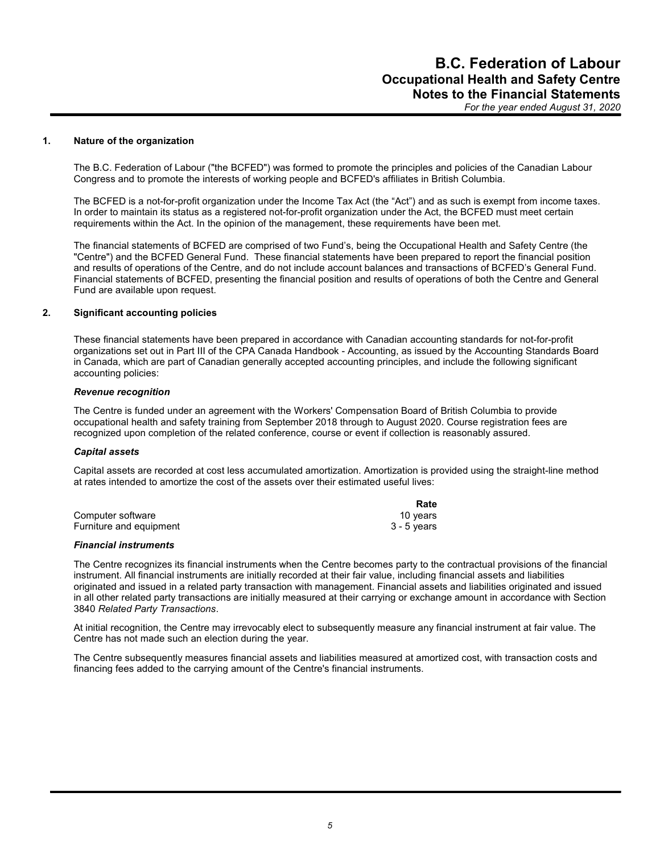#### 1. Nature of the organization

The B.C. Federation of Labour ("the BCFED") was formed to promote the principles and policies of the Canadian Labour Congress and to promote the interests of working people and BCFED's affiliates in British Columbia.

The BCFED is a not-for-profit organization under the Income Tax Act (the "Act") and as such is exempt from income taxes. In order to maintain its status as a registered not-for-profit organization under the Act, the BCFED must meet certain requirements within the Act. In the opinion of the management, these requirements have been met.

The financial statements of BCFED are comprised of two Fund's, being the Occupational Health and Safety Centre (the "Centre") and the BCFED General Fund. These financial statements have been prepared to report the financial position and results of operations of the Centre, and do not include account balances and transactions of BCFED's General Fund. Financial statements of BCFED, presenting the financial position and results of operations of both the Centre and General Fund are available upon request.

#### 2. Significant accounting policies

These financial statements have been prepared in accordance with Canadian accounting standards for not-for-profit organizations set out in Part III of the CPA Canada Handbook - Accounting, as issued by the Accounting Standards Board in Canada, which are part of Canadian generally accepted accounting principles, and include the following significant accounting policies:

#### Revenue recognition

The Centre is funded under an agreement with the Workers' Compensation Board of British Columbia to provide occupational health and safety training from September 2018 through to August 2020. Course registration fees are recognized upon completion of the related conference, course or event if collection is reasonably assured.

#### Capital assets

Capital assets are recorded at cost less accumulated amortization. Amortization is provided using the straight-line method at rates intended to amortize the cost of the assets over their estimated useful lives:

|                         | Rate        |
|-------------------------|-------------|
| Computer software       | 10 vears    |
| Furniture and equipment | 3 - 5 years |

#### Financial instruments

The Centre recognizes its financial instruments when the Centre becomes party to the contractual provisions of the financial instrument. All financial instruments are initially recorded at their fair value, including financial assets and liabilities originated and issued in a related party transaction with management. Financial assets and liabilities originated and issued in all other related party transactions are initially measured at their carrying or exchange amount in accordance with Section 3840 Related Party Transactions.

At initial recognition, the Centre may irrevocably elect to subsequently measure any financial instrument at fair value. The Centre has not made such an election during the year.

The Centre subsequently measures financial assets and liabilities measured at amortized cost, with transaction costs and financing fees added to the carrying amount of the Centre's financial instruments.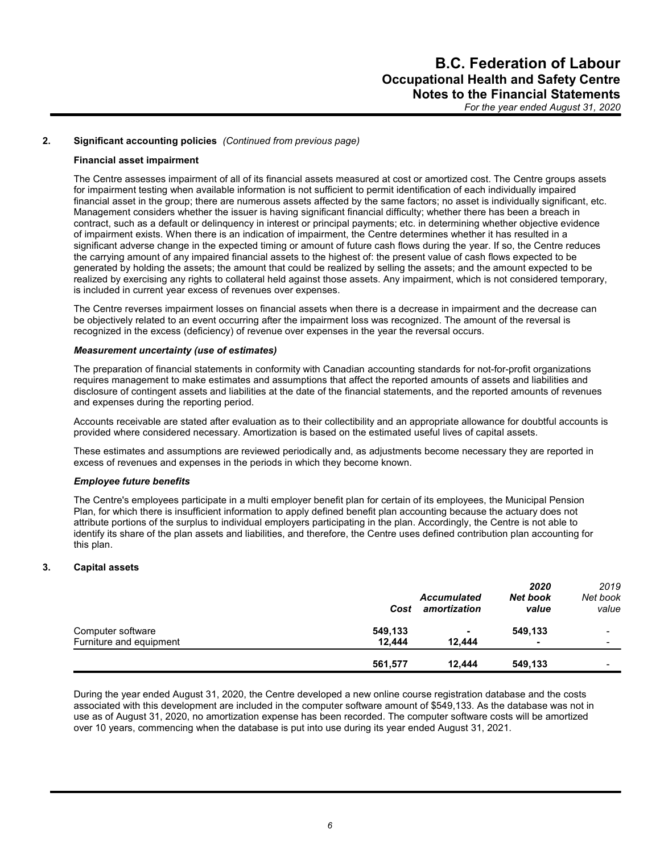#### 2. Significant accounting policies (Continued from previous page)

#### Financial asset impairment

The Centre assesses impairment of all of its financial assets measured at cost or amortized cost. The Centre groups assets for impairment testing when available information is not sufficient to permit identification of each individually impaired financial asset in the group; there are numerous assets affected by the same factors; no asset is individually significant, etc. Management considers whether the issuer is having significant financial difficulty; whether there has been a breach in contract, such as a default or delinquency in interest or principal payments; etc. in determining whether objective evidence of impairment exists. When there is an indication of impairment, the Centre determines whether it has resulted in a significant adverse change in the expected timing or amount of future cash flows during the year. If so, the Centre reduces the carrying amount of any impaired financial assets to the highest of: the present value of cash flows expected to be generated by holding the assets; the amount that could be realized by selling the assets; and the amount expected to be realized by exercising any rights to collateral held against those assets. Any impairment, which is not considered temporary, is included in current year excess of revenues over expenses.

The Centre reverses impairment losses on financial assets when there is a decrease in impairment and the decrease can be objectively related to an event occurring after the impairment loss was recognized. The amount of the reversal is recognized in the excess (deficiency) of revenue over expenses in the year the reversal occurs.

#### Measurement uncertainty (use of estimates)

The preparation of financial statements in conformity with Canadian accounting standards for not-for-profit organizations requires management to make estimates and assumptions that affect the reported amounts of assets and liabilities and disclosure of contingent assets and liabilities at the date of the financial statements, and the reported amounts of revenues and expenses during the reporting period.

Accounts receivable are stated after evaluation as to their collectibility and an appropriate allowance for doubtful accounts is provided where considered necessary. Amortization is based on the estimated useful lives of capital assets.

These estimates and assumptions are reviewed periodically and, as adjustments become necessary they are reported in excess of revenues and expenses in the periods in which they become known.

#### Employee future benefits

The Centre's employees participate in a multi employer benefit plan for certain of its employees, the Municipal Pension Plan, for which there is insufficient information to apply defined benefit plan accounting because the actuary does not attribute portions of the surplus to individual employers participating in the plan. Accordingly, the Centre is not able to identify its share of the plan assets and liabilities, and therefore, the Centre uses defined contribution plan accounting for this plan.

#### 3. Capital assets

|                         | Cost    | <b>Accumulated</b><br>amortization | 2020<br><b>Net book</b><br>value | 2019<br>Net book<br>value |
|-------------------------|---------|------------------------------------|----------------------------------|---------------------------|
| Computer software       | 549,133 | $\overline{\phantom{0}}$           | 549,133                          |                           |
| Furniture and equipment | 12.444  | 12.444                             |                                  |                           |
|                         | 561,577 | 12.444                             | 549.133                          | $\,$                      |

During the year ended August 31, 2020, the Centre developed a new online course registration database and the costs associated with this development are included in the computer software amount of \$549,133. As the database was not in use as of August 31, 2020, no amortization expense has been recorded. The computer software costs will be amortized over 10 years, commencing when the database is put into use during its year ended August 31, 2021.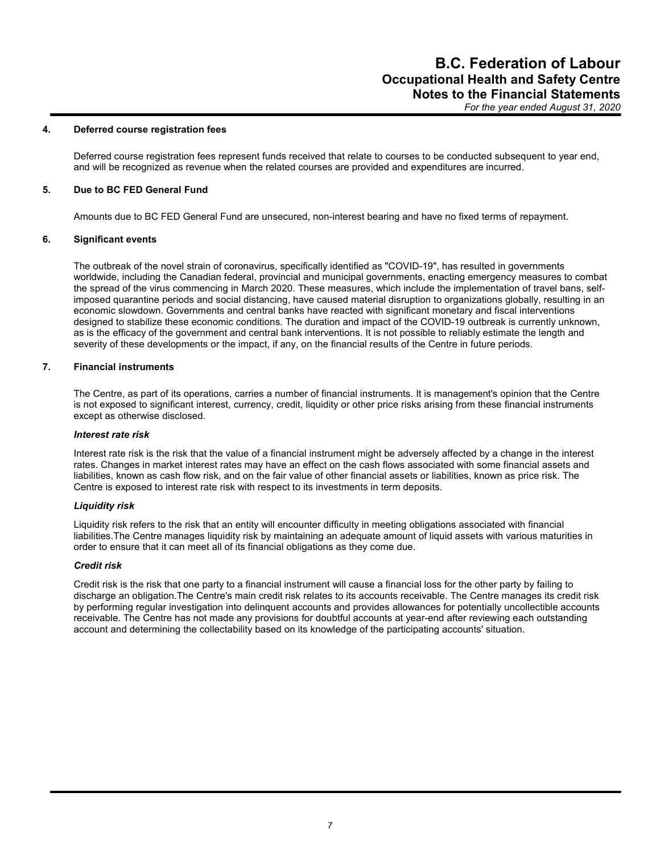#### 4. Deferred course registration fees

Deferred course registration fees represent funds received that relate to courses to be conducted subsequent to year end, and will be recognized as revenue when the related courses are provided and expenditures are incurred.

#### 5. Due to BC FED General Fund

Amounts due to BC FED General Fund are unsecured, non-interest bearing and have no fixed terms of repayment.

#### 6. Significant events

The outbreak of the novel strain of coronavirus, specifically identified as "COVID-19", has resulted in governments worldwide, including the Canadian federal, provincial and municipal governments, enacting emergency measures to combat the spread of the virus commencing in March 2020. These measures, which include the implementation of travel bans, selfimposed quarantine periods and social distancing, have caused material disruption to organizations globally, resulting in an economic slowdown. Governments and central banks have reacted with significant monetary and fiscal interventions designed to stabilize these economic conditions. The duration and impact of the COVID-19 outbreak is currently unknown, as is the efficacy of the government and central bank interventions. It is not possible to reliably estimate the length and severity of these developments or the impact, if any, on the financial results of the Centre in future periods.

#### 7. Financial instruments

The Centre, as part of its operations, carries a number of financial instruments. It is management's opinion that the Centre is not exposed to significant interest, currency, credit, liquidity or other price risks arising from these financial instruments except as otherwise disclosed.

#### Interest rate risk

Interest rate risk is the risk that the value of a financial instrument might be adversely affected by a change in the interest rates. Changes in market interest rates may have an effect on the cash flows associated with some financial assets and liabilities, known as cash flow risk, and on the fair value of other financial assets or liabilities, known as price risk. The Centre is exposed to interest rate risk with respect to its investments in term deposits.

#### Liquidity risk

Liquidity risk refers to the risk that an entity will encounter difficulty in meeting obligations associated with financial liabilities.The Centre manages liquidity risk by maintaining an adequate amount of liquid assets with various maturities in order to ensure that it can meet all of its financial obligations as they come due.

#### Credit risk

Credit risk is the risk that one party to a financial instrument will cause a financial loss for the other party by failing to discharge an obligation.The Centre's main credit risk relates to its accounts receivable. The Centre manages its credit risk by performing regular investigation into delinquent accounts and provides allowances for potentially uncollectible accounts receivable. The Centre has not made any provisions for doubtful accounts at year-end after reviewing each outstanding account and determining the collectability based on its knowledge of the participating accounts' situation.